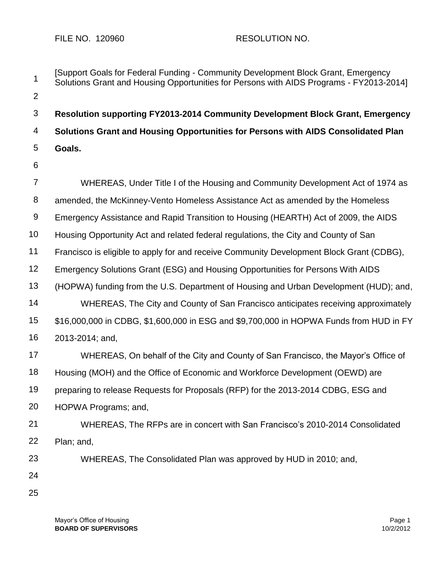| 1              | [Support Goals for Federal Funding - Community Development Block Grant, Emergency<br>Solutions Grant and Housing Opportunities for Persons with AIDS Programs - FY2013-2014] |
|----------------|------------------------------------------------------------------------------------------------------------------------------------------------------------------------------|
| $\overline{2}$ |                                                                                                                                                                              |
| 3              | Resolution supporting FY2013-2014 Community Development Block Grant, Emergency                                                                                               |
| 4              | Solutions Grant and Housing Opportunities for Persons with AIDS Consolidated Plan                                                                                            |
| 5              | Goals.                                                                                                                                                                       |
| 6              |                                                                                                                                                                              |
| 7              | WHEREAS, Under Title I of the Housing and Community Development Act of 1974 as                                                                                               |
| 8              | amended, the McKinney-Vento Homeless Assistance Act as amended by the Homeless                                                                                               |
| $\overline{9}$ | Emergency Assistance and Rapid Transition to Housing (HEARTH) Act of 2009, the AIDS                                                                                          |
| 10             | Housing Opportunity Act and related federal regulations, the City and County of San                                                                                          |
| 11             | Francisco is eligible to apply for and receive Community Development Block Grant (CDBG),                                                                                     |
| 12             | Emergency Solutions Grant (ESG) and Housing Opportunities for Persons With AIDS                                                                                              |
| 13             | (HOPWA) funding from the U.S. Department of Housing and Urban Development (HUD); and,                                                                                        |
| 14             | WHEREAS, The City and County of San Francisco anticipates receiving approximately                                                                                            |
| 15             | \$16,000,000 in CDBG, \$1,600,000 in ESG and \$9,700,000 in HOPWA Funds from HUD in FY                                                                                       |
| 16             | 2013-2014; and,                                                                                                                                                              |
| 17             | WHEREAS, On behalf of the City and County of San Francisco, the Mayor's Office of                                                                                            |
| 18             | Housing (MOH) and the Office of Economic and Workforce Development (OEWD) are                                                                                                |
| 19             | preparing to release Requests for Proposals (RFP) for the 2013-2014 CDBG, ESG and                                                                                            |
| 20             | HOPWA Programs; and,                                                                                                                                                         |
| 21             | WHEREAS, The RFPs are in concert with San Francisco's 2010-2014 Consolidated                                                                                                 |
| 22             | Plan; and,                                                                                                                                                                   |
| 23             | WHEREAS, The Consolidated Plan was approved by HUD in 2010; and,                                                                                                             |
| 24             |                                                                                                                                                                              |
| 25             |                                                                                                                                                                              |